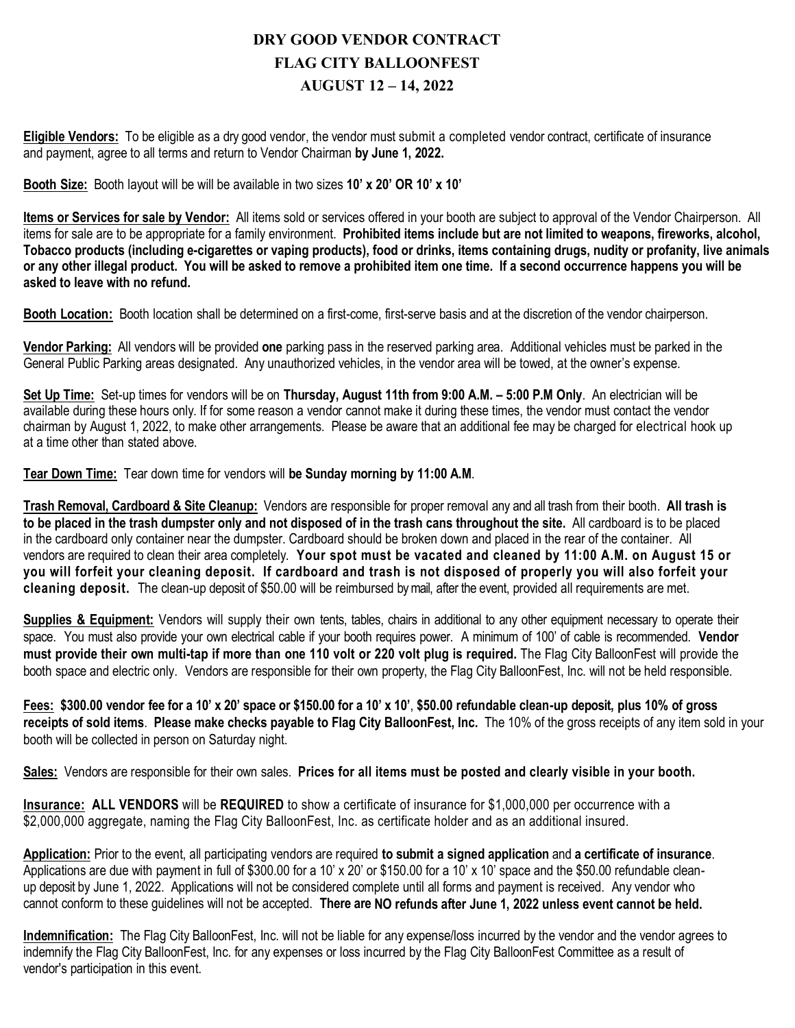## **DRY GOOD VENDOR CONTRACT FLAG CITY BALLOONFEST AUGUST 12 – 14, 2022**

**Eligible Vendors:** To be eligible as a dry good vendor, the vendor must submit a completed vendor contract, certificate of insurance and payment, agree to all terms and return to Vendor Chairman **by June 1, 2022.** 

**Booth Size:** Booth layout will be will be available in two sizes **10' x 20' OR 10' x 10'**

**Items or Services for sale by Vendor:** All items sold or services offered in your booth are subject to approval of the Vendor Chairperson. All items for sale are to be appropriate for a family environment. **Prohibited items include but are not limited to weapons, fireworks, alcohol, Tobacco products (including e-cigarettes or vaping products), food or drinks, items containing drugs, nudity or profanity, live animals or any other illegal product. You will be asked to remove a prohibited item one time. If a second occurrence happens you will be asked to leave with no refund.**

**Booth Location:** Booth location shall be determined on a first-come, first-serve basis and at the discretion of the vendor chairperson.

**Vendor Parking:** All vendors will be provided **one** parking pass in the reserved parking area. Additional vehicles must be parked in the General Public Parking areas designated. Any unauthorized vehicles, in the vendor area will be towed, at the owner's expense.

**Set Up Time:** Set-up times for vendors will be on **Thursday, August 11th from 9:00 A.M. – 5:00 P.M Only**. An electrician will be available during these hours only. If for some reason a vendor cannot make it during these times, the vendor must contact the vendor chairman by August 1, 2022, to make other arrangements. Please be aware that an additional fee may be charged for electrical hook up at a time other than stated above.

**Tear Down Time:** Tear down time for vendors will **be Sunday morning by 11:00 A.M**.

**Trash Removal, Cardboard & Site Cleanup:** Vendors are responsible for proper removal any and all trash from their booth. **All trash is to be placed in the trash dumpster only and not disposed of in the trash cans throughout the site.** All cardboard is to be placed in the cardboard only container near the dumpster. Cardboard should be broken down and placed in the rear of the container. All vendors are required to clean their area completely. **Your spot must be vacated and cleaned by 11:00 A.M. on August 15 or you will forfeit your cleaning deposit. If cardboard and trash is not disposed of properly you will also forfeit your cleaning deposit.** The clean-up deposit of \$50.00 will be reimbursed by mail, after the event, provided all requirements are met.

**Supplies & Equipment:** Vendors will supply their own tents, tables, chairs in additional to any other equipment necessary to operate their space. You must also provide your own electrical cable if your booth requires power. A minimum of 100' of cable is recommended. **Vendor must provide their own multi-tap if more than one 110 volt or 220 volt plug is required.** The Flag City BalloonFest will provide the booth space and electric only. Vendors are responsible for their own property, the Flag City BalloonFest, Inc. will not be held responsible.

**Fees: \$300.00 vendor fee for a 10' x 20' space or \$150.00 for a 10' x 10'**, **\$50.00 refundable clean-up deposit, plus 10% of gross receipts of sold items**. **Please make checks payable to Flag City BalloonFest, Inc.** The 10% of the gross receipts of any item sold in your booth will be collected in person on Saturday night.

**Sales:** Vendors are responsible for their own sales. **Prices for all items must be posted and clearly visible in your booth.** 

**Insurance: ALL VENDORS** will be **REQUIRED** to show a certificate of insurance for \$1,000,000 per occurrence with a \$2,000,000 aggregate, naming the Flag City BalloonFest, Inc. as certificate holder and as an additional insured.

**Application:** Prior to the event, all participating vendors are required **to submit a signed application** and **a certificate of insurance**. Applications are due with payment in full of \$300.00 for a 10' x 20' or \$150.00 for a 10' x 10' space and the \$50.00 refundable cleanup deposit by June 1, 2022. Applications will not be considered complete until all forms and payment is received. Any vendor who cannot conform to these guidelines will not be accepted. **There are NO refunds after June 1, 2022 unless event cannot be held.**

**Indemnification:** The Flag City BalloonFest, Inc. will not be liable for any expense/loss incurred by the vendor and the vendor agrees to indemnify the Flag City BalloonFest, Inc. for any expenses or loss incurred by the Flag City BalloonFest Committee as a result of vendor's participation in this event.